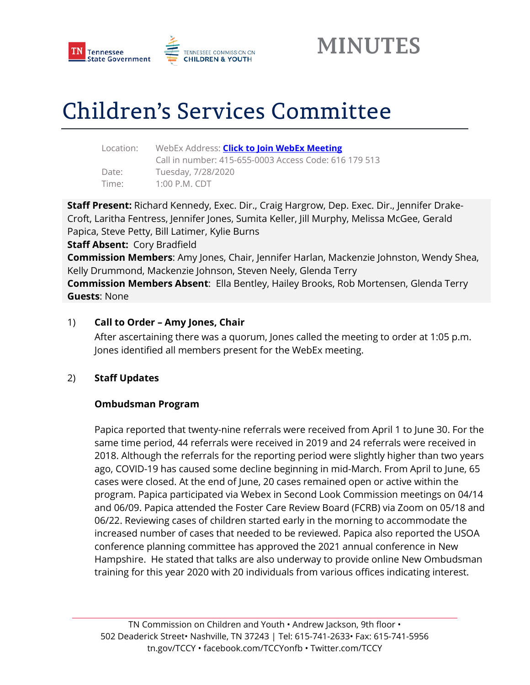



# Children's Services Committee

| Location: |  |
|-----------|--|
|           |  |
| Date:     |  |

Location: WebEx Address: **[Click to Join WebEx Meeting](https://tngov.webex.com/tngov/j.php?MTID=m84ce5325ef05feff41c9495a40259a31)** Call in number: 415-655-0003 Access Code: 616 179 513 Tuesday, 7/28/2020 Time: 1:00 P.M. CDT

**Staff Present:** Richard Kennedy, Exec. Dir., Craig Hargrow, Dep. Exec. Dir., Jennifer Drake-Croft, Laritha Fentress, Jennifer Jones, Sumita Keller, Jill Murphy, Melissa McGee, Gerald Papica, Steve Petty, Bill Latimer, Kylie Burns

**Staff Absent:** Cory Bradfield

**Commission Members**: Amy Jones, Chair, Jennifer Harlan, Mackenzie Johnston, Wendy Shea, Kelly Drummond, Mackenzie Johnson, Steven Neely, Glenda Terry

**Commission Members Absent**: Ella Bentley, Hailey Brooks, Rob Mortensen, Glenda Terry **Guests**: None

#### 1) **Call to Order – Amy Jones, Chair**

After ascertaining there was a quorum, Jones called the meeting to order at 1:05 p.m. Jones identified all members present for the WebEx meeting.

#### 2) **Staff Updates**

#### **Ombudsman Program**

Papica reported that twenty-nine referrals were received from April 1 to June 30. For the same time period, 44 referrals were received in 2019 and 24 referrals were received in 2018. Although the referrals for the reporting period were slightly higher than two years ago, COVID-19 has caused some decline beginning in mid-March. From April to June, 65 cases were closed. At the end of June, 20 cases remained open or active within the program. Papica participated via Webex in Second Look Commission meetings on 04/14 and 06/09. Papica attended the Foster Care Review Board (FCRB) via Zoom on 05/18 and 06/22. Reviewing cases of children started early in the morning to accommodate the increased number of cases that needed to be reviewed. Papica also reported the USOA conference planning committee has approved the 2021 annual conference in New Hampshire. He stated that talks are also underway to provide online New Ombudsman training for this year 2020 with 20 individuals from various offices indicating interest.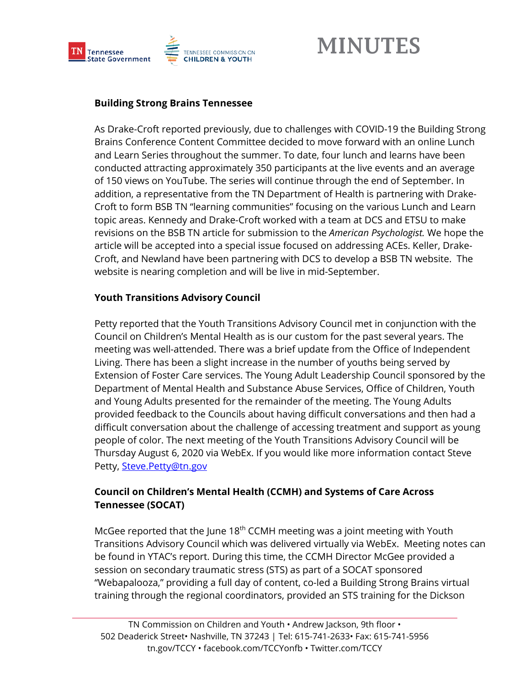

#### **Building Strong Brains Tennessee**

As Drake-Croft reported previously, due to challenges with COVID-19 the Building Strong Brains Conference Content Committee decided to move forward with an online Lunch and Learn Series throughout the summer. To date, four lunch and learns have been conducted attracting approximately 350 participants at the live events and an average of 150 views on YouTube. The series will continue through the end of September. In addition, a representative from the TN Department of Health is partnering with Drake-Croft to form BSB TN "learning communities" focusing on the various Lunch and Learn topic areas. Kennedy and Drake-Croft worked with a team at DCS and ETSU to make revisions on the BSB TN article for submission to the *American Psychologist.* We hope the article will be accepted into a special issue focused on addressing ACEs. Keller, Drake-Croft, and Newland have been partnering with DCS to develop a BSB TN website. The website is nearing completion and will be live in mid-September.

#### **Youth Transitions Advisory Council**

Petty reported that the Youth Transitions Advisory Council met in conjunction with the Council on Children's Mental Health as is our custom for the past several years. The meeting was well-attended. There was a brief update from the Office of Independent Living. There has been a slight increase in the number of youths being served by Extension of Foster Care services. The Young Adult Leadership Council sponsored by the Department of Mental Health and Substance Abuse Services, Office of Children, Youth and Young Adults presented for the remainder of the meeting. The Young Adults provided feedback to the Councils about having difficult conversations and then had a difficult conversation about the challenge of accessing treatment and support as young people of color. The next meeting of the Youth Transitions Advisory Council will be Thursday August 6, 2020 via WebEx. If you would like more information contact Steve Petty, [Steve.Petty@tn.gov](mailto:Steve.Petty@tn.gov)

#### **Council on Children's Mental Health (CCMH) and Systems of Care Across Tennessee (SOCAT)**

McGee reported that the June 18<sup>th</sup> CCMH meeting was a joint meeting with Youth Transitions Advisory Council which was delivered virtually via WebEx. Meeting notes can be found in YTAC's report. During this time, the CCMH Director McGee provided a session on secondary traumatic stress (STS) as part of a SOCAT sponsored "Webapalooza," providing a full day of content, co-led a Building Strong Brains virtual training through the regional coordinators, provided an STS training for the Dickson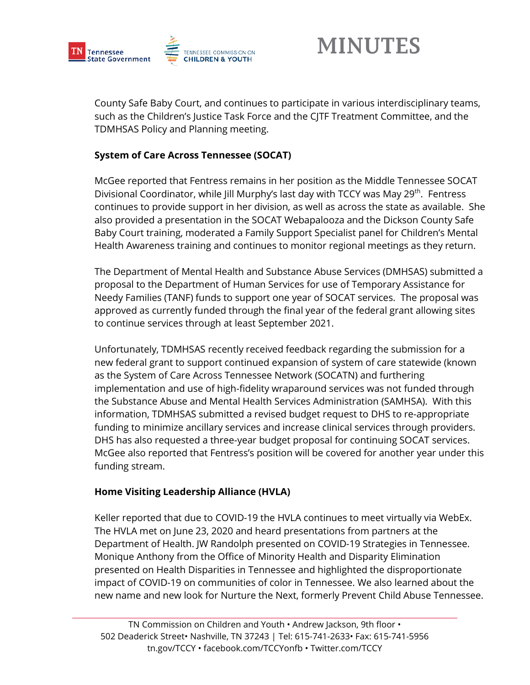

County Safe Baby Court, and continues to participate in various interdisciplinary teams, such as the Children's Justice Task Force and the CJTF Treatment Committee, and the TDMHSAS Policy and Planning meeting.

#### **System of Care Across Tennessee (SOCAT)**

McGee reported that Fentress remains in her position as the Middle Tennessee SOCAT Divisional Coordinator, while Jill Murphy's last day with TCCY was May 29<sup>th</sup>. Fentress continues to provide support in her division, as well as across the state as available. She also provided a presentation in the SOCAT Webapalooza and the Dickson County Safe Baby Court training, moderated a Family Support Specialist panel for Children's Mental Health Awareness training and continues to monitor regional meetings as they return.

The Department of Mental Health and Substance Abuse Services (DMHSAS) submitted a proposal to the Department of Human Services for use of Temporary Assistance for Needy Families (TANF) funds to support one year of SOCAT services. The proposal was approved as currently funded through the final year of the federal grant allowing sites to continue services through at least September 2021.

Unfortunately, TDMHSAS recently received feedback regarding the submission for a new federal grant to support continued expansion of system of care statewide (known as the System of Care Across Tennessee Network (SOCATN) and furthering implementation and use of high-fidelity wraparound services was not funded through the Substance Abuse and Mental Health Services Administration (SAMHSA). With this information, TDMHSAS submitted a revised budget request to DHS to re-appropriate funding to minimize ancillary services and increase clinical services through providers. DHS has also requested a three-year budget proposal for continuing SOCAT services. McGee also reported that Fentress's position will be covered for another year under this funding stream.

#### **Home Visiting Leadership Alliance (HVLA)**

Keller reported that due to COVID-19 the HVLA continues to meet virtually via WebEx. The HVLA met on June 23, 2020 and heard presentations from partners at the Department of Health. JW Randolph presented on COVID-19 Strategies in Tennessee. Monique Anthony from the Office of Minority Health and Disparity Elimination presented on Health Disparities in Tennessee and highlighted the disproportionate impact of COVID-19 on communities of color in Tennessee. We also learned about the new name and new look for Nurture the Next, formerly Prevent Child Abuse Tennessee.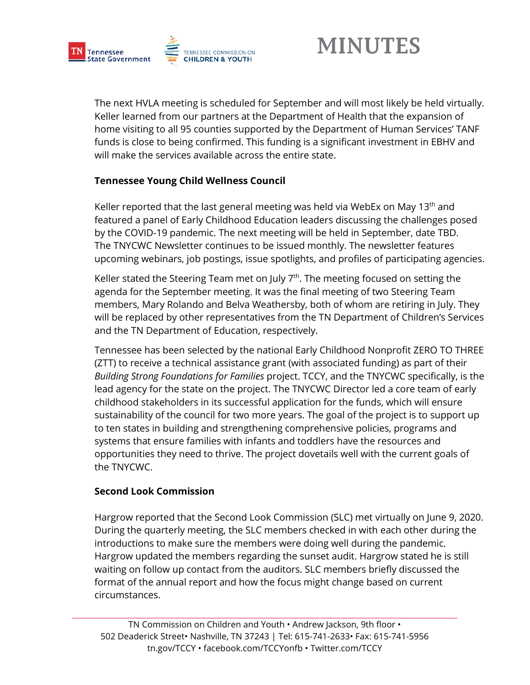

The next HVLA meeting is scheduled for September and will most likely be held virtually. Keller learned from our partners at the Department of Health that the expansion of home visiting to all 95 counties supported by the Department of Human Services' TANF funds is close to being confirmed. This funding is a significant investment in EBHV and will make the services available across the entire state.

#### **Tennessee Young Child Wellness Council**

Keller reported that the last general meeting was held via WebEx on May 13<sup>th</sup> and featured a panel of Early Childhood Education leaders discussing the challenges posed by the COVID-19 pandemic. The next meeting will be held in September, date TBD. The TNYCWC Newsletter continues to be issued monthly. The newsletter features upcoming webinars, job postings, issue spotlights, and profiles of participating agencies.

Keller stated the Steering Team met on July  $7<sup>th</sup>$ . The meeting focused on setting the agenda for the September meeting. It was the final meeting of two Steering Team members, Mary Rolando and Belva Weathersby, both of whom are retiring in July. They will be replaced by other representatives from the TN Department of Children's Services and the TN Department of Education, respectively.

Tennessee has been selected by the national Early Childhood Nonprofit ZERO TO THREE (ZTT) to receive a technical assistance grant (with associated funding) as part of their *Building Strong Foundations for Families* project. TCCY, and the TNYCWC specifically, is the lead agency for the state on the project. The TNYCWC Director led a core team of early childhood stakeholders in its successful application for the funds, which will ensure sustainability of the council for two more years. The goal of the project is to support up to ten states in building and strengthening comprehensive policies, programs and systems that ensure families with infants and toddlers have the resources and opportunities they need to thrive. The project dovetails well with the current goals of the TNYCWC.

#### **Second Look Commission**

Hargrow reported that the Second Look Commission (SLC) met virtually on June 9, 2020. During the quarterly meeting, the SLC members checked in with each other during the introductions to make sure the members were doing well during the pandemic. Hargrow updated the members regarding the sunset audit. Hargrow stated he is still waiting on follow up contact from the auditors. SLC members briefly discussed the format of the annual report and how the focus might change based on current circumstances.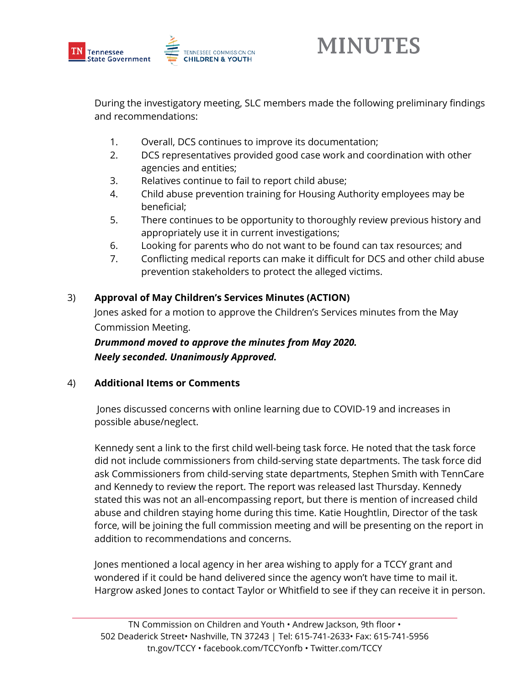

During the investigatory meeting, SLC members made the following preliminary findings and recommendations:

- 1. Overall, DCS continues to improve its documentation;
- 2. DCS representatives provided good case work and coordination with other agencies and entities;
- 3. Relatives continue to fail to report child abuse;
- 4. Child abuse prevention training for Housing Authority employees may be beneficial;
- 5. There continues to be opportunity to thoroughly review previous history and appropriately use it in current investigations;
- 6. Looking for parents who do not want to be found can tax resources; and
- 7. Conflicting medical reports can make it difficult for DCS and other child abuse prevention stakeholders to protect the alleged victims.

#### 3) **Approval of May Children's Services Minutes (ACTION)**

Jones asked for a motion to approve the Children's Services minutes from the May Commission Meeting.

*Drummond moved to approve the minutes from May 2020. Neely seconded. Unanimously Approved.*

#### 4) **Additional Items or Comments**

Jones discussed concerns with online learning due to COVID-19 and increases in possible abuse/neglect.

Kennedy sent a link to the first child well-being task force. He noted that the task force did not include commissioners from child-serving state departments. The task force did ask Commissioners from child-serving state departments, Stephen Smith with TennCare and Kennedy to review the report. The report was released last Thursday. Kennedy stated this was not an all-encompassing report, but there is mention of increased child abuse and children staying home during this time. Katie Houghtlin, Director of the task force, will be joining the full commission meeting and will be presenting on the report in addition to recommendations and concerns.

Jones mentioned a local agency in her area wishing to apply for a TCCY grant and wondered if it could be hand delivered since the agency won't have time to mail it. Hargrow asked Jones to contact Taylor or Whitfield to see if they can receive it in person.